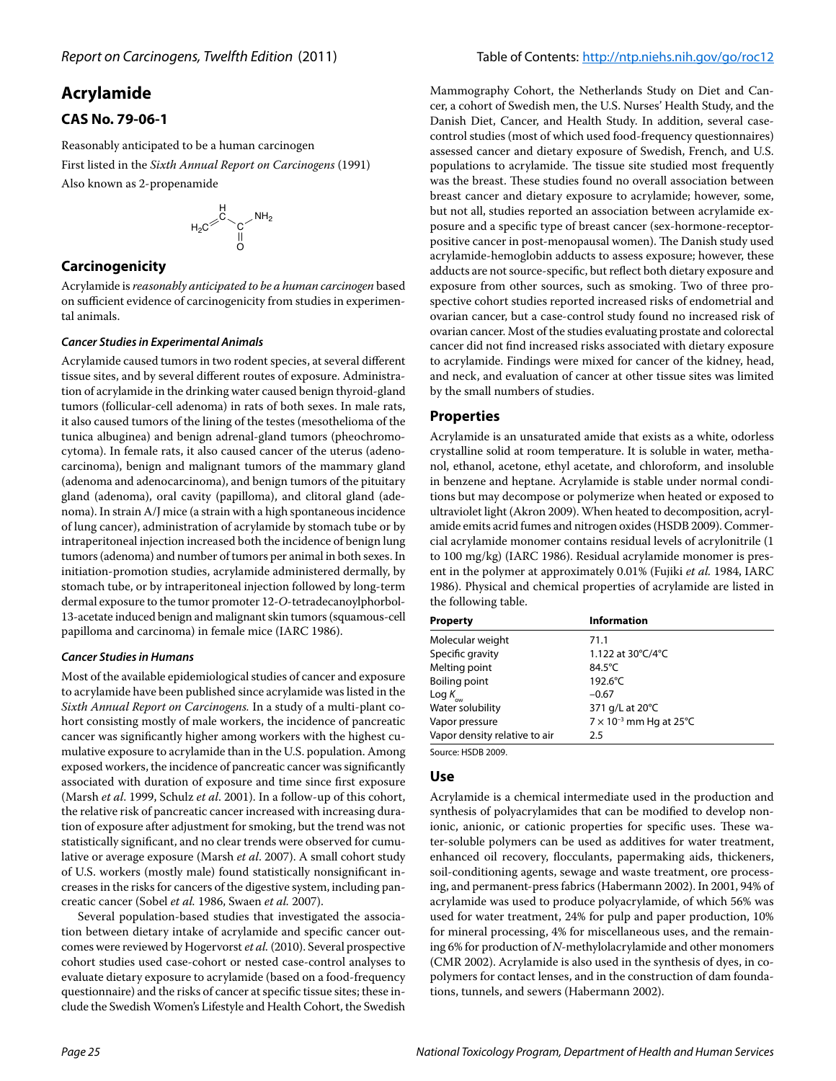### Table of Contents: http://ntp.niehs.nih.gov/go/roc12

# **Acrylamide**

## **CAS No. 79-06-1**

Reasonably anticipated to be a human carcinogen First listed in the *Sixth Annual Report on Carcinogens* (1991) Also known as 2-propenamide

$$
H_2C \begin{matrix} H_1 & H_2 \\ H_2C & H_3 \\ H_4 & H_5 \\ H_6 & H_7 \end{matrix}
$$

## **Carcinogenicity**

Acrylamide is *reasonably anticipated to be a human carcinogen* based on sufficient evidence of carcinogenicity from studies in experimental animals.

### *Cancer Studies in Experimental Animals*

Acrylamide caused tumors in two rodent species, at several different tissue sites, and by several different routes of exposure. Administration of acrylamide in the drinking water caused benign thyroid-gland tumors (follicular-cell adenoma) in rats of both sexes. In male rats, it also caused tumors of the lining of the testes (mesothelioma of the tunica albuginea) and benign adrenal-gland tumors (pheochromocytoma). In female rats, it also caused cancer of the uterus (adenocarcinoma), benign and malignant tumors of the mammary gland (adenoma and adenocarcinoma), and benign tumors of the pituitary gland (adenoma), oral cavity (papilloma), and clitoral gland (adenoma). In strain A/J mice (a strain with a high spontaneous incidence of lung cancer), administration of acrylamide by stomach tube or by intraperitoneal injection increased both the incidence of benign lung tumors (adenoma) and number of tumors per animal in both sexes. In initiation-promotion studies, acrylamide administered dermally, by stomach tube, or by intraperitoneal injection followed by long-term dermal exposure to the tumor promoter 12-*O*-tetradecanoylphorbol-13-acetate induced benign and malignant skin tumors (squamous-cell papilloma and carcinoma) in female mice (IARC 1986).

### *Cancer Studies in Humans*

Most of the available epidemiological studies of cancer and exposure to acrylamide have been published since acrylamide was listed in the *Sixth Annual Report on Carcinogens.* In a study of a multi-plant cohort consisting mostly of male workers, the incidence of pancreatic cancer was significantly higher among workers with the highest cumulative exposure to acrylamide than in the U.S. population. Among exposed workers, the incidence of pancreatic cancer was significantly associated with duration of exposure and time since first exposure (Marsh *et al*. 1999, Schulz *et al*. 2001). In a follow-up of this cohort, the relative risk of pancreatic cancer increased with increasing duration of exposure after adjustment for smoking, but the trend was not statistically significant, and no clear trends were observed for cumulative or average exposure (Marsh *et al*. 2007). A small cohort study of U.S. workers (mostly male) found statistically nonsignificant increases in the risks for cancers of the digestive system, including pancreatic cancer (Sobel *et al.* 1986, Swaen *et al.* 2007).

Several population-based studies that investigated the association between dietary intake of acrylamide and specific cancer outcomes were reviewed by Hogervorst *et al.* (2010). Several prospective cohort studies used case-cohort or nested case-control analyses to evaluate dietary exposure to acrylamide (based on a food-frequency questionnaire) and the risks of cancer at specific tissue sites; these include the Swedish Women's Lifestyle and Health Cohort, the Swedish Mammography Cohort, the Netherlands Study on Diet and Cancer, a cohort of Swedish men, the U.S. Nurses' Health Study, and the Danish Diet, Cancer, and Health Study. In addition, several casecontrol studies (most of which used food-frequency questionnaires) assessed cancer and dietary exposure of Swedish, French, and U.S. populations to acrylamide. The tissue site studied most frequently was the breast. These studies found no overall association between breast cancer and dietary exposure to acrylamide; however, some, but not all, studies reported an association between acrylamide exposure and a specific type of breast cancer (sex-hormone-receptorpositive cancer in post-menopausal women). The Danish study used acrylamide-hemoglobin adducts to assess exposure; however, these adducts are not source-specific, but reflect both dietary exposure and exposure from other sources, such as smoking. Two of three prospective cohort studies reported increased risks of endometrial and ovarian cancer, but a case-control study found no increased risk of ovarian cancer. Most of the studies evaluating prostate and colorectal cancer did not find increased risks associated with dietary exposure to acrylamide. Findings were mixed for cancer of the kidney, head, and neck, and evaluation of cancer at other tissue sites was limited by the small numbers of studies.

## **Properties**

Acrylamide is an unsaturated amide that exists as a white, odorless crystalline solid at room temperature. It is soluble in water, methanol, ethanol, acetone, ethyl acetate, and chloroform, and insoluble in benzene and heptane. Acrylamide is stable under normal conditions but may decompose or polymerize when heated or exposed to ultraviolet light (Akron 2009). When heated to decomposition, acrylamide emits acrid fumes and nitrogen oxides (HSDB 2009). Commercial acrylamide monomer contains residual levels of acrylonitrile (1 to 100 mg/kg) (IARC 1986). Residual acrylamide monomer is present in the polymer at approximately 0.01% (Fujiki *et al.* 1984, IARC 1986). Physical and chemical properties of acrylamide are listed in the following table.

| <b>Property</b>               | <b>Information</b>               |
|-------------------------------|----------------------------------|
| Molecular weight              | 71.1                             |
| Specific gravity              | 1.122 at 30°C/4°C                |
| Melting point                 | 84.5 $\degree$ C                 |
| Boiling point                 | $192.6^{\circ}$ C                |
| Log $K_{_{\rm{ow}}}$          | $-0.67$                          |
| Water solubility              | 371 g/L at 20°C                  |
| Vapor pressure                | $7 \times 10^{-3}$ mm Hg at 25°C |
| Vapor density relative to air | $2.5\,$                          |

Source: HSDB 2009.

## **Use**

Acrylamide is a chemical intermediate used in the production and synthesis of polyacrylamides that can be modified to develop nonionic, anionic, or cationic properties for specific uses. These water-soluble polymers can be used as additives for water treatment, enhanced oil recovery, flocculants, papermaking aids, thickeners, soil-conditioning agents, sewage and waste treatment, ore processing, and permanent-press fabrics (Habermann 2002). In 2001, 94% of acrylamide was used to produce polyacrylamide, of which 56% was used for water treatment, 24% for pulp and paper production, 10% for mineral processing, 4% for miscellaneous uses, and the remaining 6% for production of *N*-methylolacrylamide and other monomers (CMR 2002). Acrylamide is also used in the synthesis of dyes, in copolymers for contact lenses, and in the construction of dam foundations, tunnels, and sewers (Habermann 2002).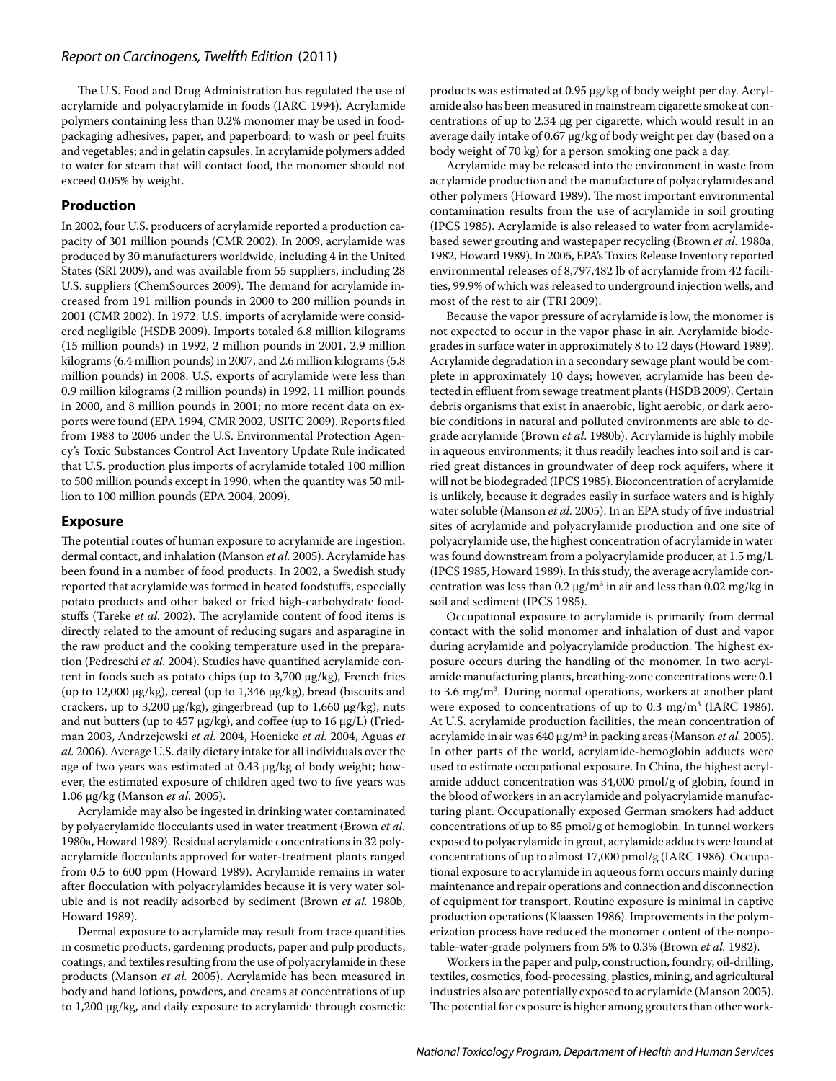The U.S. Food and Drug Administration has regulated the use of acrylamide and polyacrylamide in foods (IARC 1994). Acrylamide polymers containing less than 0.2% monomer may be used in foodpackaging adhesives, paper, and paperboard; to wash or peel fruits and vegetables; and in gelatin capsules. In acrylamide polymers added to water for steam that will contact food, the monomer should not exceed 0.05% by weight.

## **Production**

In 2002, four U.S. producers of acrylamide reported a production capacity of 301 million pounds (CMR 2002). In 2009, acrylamide was produced by 30 manufacturers worldwide, including 4 in the United States (SRI 2009), and was available from 55 suppliers, including 28 U.S. suppliers (ChemSources 2009). The demand for acrylamide increased from 191 million pounds in 2000 to 200 million pounds in 2001 (CMR 2002). In 1972, U.S. imports of acrylamide were considered negligible (HSDB 2009). Imports totaled 6.8 million kilograms (15 million pounds) in 1992, 2 million pounds in 2001, 2.9 million kilograms (6.4 million pounds) in 2007, and 2.6 million kilograms (5.8 million pounds) in 2008. U.S. exports of acrylamide were less than 0.9 million kilograms (2 million pounds) in 1992, 11 million pounds in 2000, and 8 million pounds in 2001; no more recent data on exports were found (EPA 1994, CMR 2002, USITC 2009). Reports filed from 1988 to 2006 under the U.S. Environmental Protection Agency's Toxic Substances Control Act Inventory Update Rule indicated that U.S. production plus imports of acrylamide totaled 100 million to 500 million pounds except in 1990, when the quantity was 50 million to 100 million pounds (EPA 2004, 2009).

### **Exposure**

The potential routes of human exposure to acrylamide are ingestion, dermal contact, and inhalation (Manson *et al.* 2005). Acrylamide has been found in a number of food products. In 2002, a Swedish study reported that acrylamide was formed in heated foodstuffs, especially potato products and other baked or fried high-carbohydrate foodstuffs (Tareke *et al.* 2002). The acrylamide content of food items is directly related to the amount of reducing sugars and asparagine in the raw product and the cooking temperature used in the preparation (Pedreschi *et al.* 2004). Studies have quantified acrylamide content in foods such as potato chips (up to 3,700 μg/kg), French fries (up to 12,000 μg/kg), cereal (up to 1,346 μg/kg), bread (biscuits and crackers, up to 3,200 μg/kg), gingerbread (up to 1,660 μg/kg), nuts and nut butters (up to 457 μg/kg), and coffee (up to 16 μg/L) (Friedman 2003, Andrzejewski *et al.* 2004, Hoenicke *et al.* 2004, Aguas *et al.* 2006). Average U.S. daily dietary intake for all individuals over the age of two years was estimated at 0.43 μg/kg of body weight; however, the estimated exposure of children aged two to five years was 1.06 μg/kg (Manson *et al.* 2005).

Acrylamide may also be ingested in drinking water contaminated by polyacrylamide flocculants used in water treatment (Brown *et al.* 1980a, Howard 1989). Residual acrylamide concentrations in 32 polyacrylamide flocculants approved for water-treatment plants ranged from 0.5 to 600 ppm (Howard 1989). Acrylamide remains in water after flocculation with polyacrylamides because it is very water soluble and is not readily adsorbed by sediment (Brown *et al.* 1980b, Howard 1989).

Dermal exposure to acrylamide may result from trace quantities in cosmetic products, gardening products, paper and pulp products, coatings, and textiles resulting from the use of polyacrylamide in these products (Manson *et al.* 2005). Acrylamide has been measured in body and hand lotions, powders, and creams at concentrations of up to 1,200 μg/kg, and daily exposure to acrylamide through cosmetic products was estimated at 0.95 μg/kg of body weight per day. Acrylamide also has been measured in mainstream cigarette smoke at concentrations of up to 2.34 μg per cigarette, which would result in an average daily intake of 0.67 μg/kg of body weight per day (based on a body weight of 70 kg) for a person smoking one pack a day.

Acrylamide may be released into the environment in waste from acrylamide production and the manufacture of polyacrylamides and other polymers (Howard 1989). The most important environmental contamination results from the use of acrylamide in soil grouting (IPCS 1985). Acrylamide is also released to water from acrylamidebased sewer grouting and wastepaper recycling (Brown *et al.* 1980a, 1982, Howard 1989). In 2005, EPA's Toxics Release Inventory reported environmental releases of 8,797,482 lb of acrylamide from 42 facilities, 99.9% of which was released to underground injection wells, and most of the rest to air (TRI 2009).

Because the vapor pressure of acrylamide is low, the monomer is not expected to occur in the vapor phase in air. Acrylamide biodegrades in surface water in approximately 8 to 12 days (Howard 1989). Acrylamide degradation in a secondary sewage plant would be complete in approximately 10 days; however, acrylamide has been detected in effluent from sewage treatment plants (HSDB 2009). Certain debris organisms that exist in anaerobic, light aerobic, or dark aerobic conditions in natural and polluted environments are able to degrade acrylamide (Brown *et al*. 1980b). Acrylamide is highly mobile in aqueous environments; it thus readily leaches into soil and is carried great distances in groundwater of deep rock aquifers, where it will not be biodegraded (IPCS 1985). Bioconcentration of acrylamide is unlikely, because it degrades easily in surface waters and is highly water soluble (Manson *et al.* 2005). In an EPA study of five industrial sites of acrylamide and polyacrylamide production and one site of polyacrylamide use, the highest concentration of acrylamide in water was found downstream from a polyacrylamide producer, at 1.5 mg/L (IPCS 1985, Howard 1989). In this study, the average acrylamide concentration was less than 0.2 μg/m<sup>3</sup> in air and less than 0.02 mg/kg in soil and sediment (IPCS 1985).

Occupational exposure to acrylamide is primarily from dermal contact with the solid monomer and inhalation of dust and vapor during acrylamide and polyacrylamide production. The highest exposure occurs during the handling of the monomer. In two acrylamide manufacturing plants, breathing-zone concentrations were 0.1 to 3.6 mg/m3 . During normal operations, workers at another plant were exposed to concentrations of up to  $0.3 \text{ mg/m}^3$  (IARC 1986). At U.S. acrylamide production facilities, the mean concentration of acrylamide in air was 640 μg/m<sup>3</sup> in packing areas (Manson *et al.* 2005). In other parts of the world, acrylamide-hemoglobin adducts were used to estimate occupational exposure. In China, the highest acrylamide adduct concentration was 34,000 pmol/g of globin, found in the blood of workers in an acrylamide and polyacrylamide manufacturing plant. Occupationally exposed German smokers had adduct concentrations of up to 85 pmol/g of hemoglobin. In tunnel workers exposed to polyacrylamide in grout, acrylamide adducts were found at concentrations of up to almost 17,000 pmol/g (IARC 1986). Occupational exposure to acrylamide in aqueous form occurs mainly during maintenance and repair operations and connection and disconnection of equipment for transport. Routine exposure is minimal in captive production operations (Klaassen 1986). Improvements in the polymerization process have reduced the monomer content of the nonpotable-water-grade polymers from 5% to 0.3% (Brown *et al.* 1982).

Workers in the paper and pulp, construction, foundry, oil-drilling, textiles, cosmetics, food-processing, plastics, mining, and agricultural industries also are potentially exposed to acrylamide (Manson 2005). The potential for exposure is higher among grouters than other work-